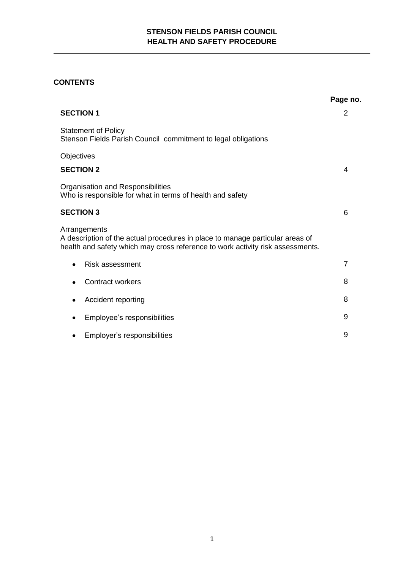# **STENSON FIELDS PARISH COUNCIL HEALTH AND SAFETY PROCEDURE**

# **CONTENTS**

|                                                                                                                                                                                 | Page no.       |
|---------------------------------------------------------------------------------------------------------------------------------------------------------------------------------|----------------|
| <b>SECTION 1</b>                                                                                                                                                                | 2              |
| <b>Statement of Policy</b><br>Stenson Fields Parish Council commitment to legal obligations                                                                                     |                |
| Objectives                                                                                                                                                                      |                |
| <b>SECTION 2</b>                                                                                                                                                                | 4              |
| Organisation and Responsibilities<br>Who is responsible for what in terms of health and safety                                                                                  |                |
| <b>SECTION 3</b>                                                                                                                                                                | 6              |
| Arrangements<br>A description of the actual procedures in place to manage particular areas of<br>health and safety which may cross reference to work activity risk assessments. |                |
| <b>Risk assessment</b>                                                                                                                                                          | $\overline{7}$ |
| <b>Contract workers</b>                                                                                                                                                         | 8              |
| Accident reporting                                                                                                                                                              | 8              |
| Employee's responsibilities                                                                                                                                                     | 9              |
| Employer's responsibilities                                                                                                                                                     | 9              |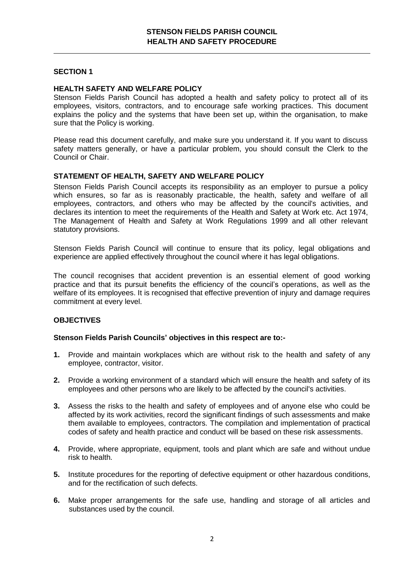# **SECTION 1**

## **HEALTH SAFETY AND WELFARE POLICY**

Stenson Fields Parish Council has adopted a health and safety policy to protect all of its employees, visitors, contractors, and to encourage safe working practices. This document explains the policy and the systems that have been set up, within the organisation, to make sure that the Policy is working.

Please read this document carefully, and make sure you understand it. If you want to discuss safety matters generally, or have a particular problem, you should consult the Clerk to the Council or Chair.

## **STATEMENT OF HEALTH, SAFETY AND WELFARE POLICY**

Stenson Fields Parish Council accepts its responsibility as an employer to pursue a policy which ensures, so far as is reasonably practicable, the health, safety and welfare of all employees, contractors, and others who may be affected by the council's activities, and declares its intention to meet the requirements of the Health and Safety at Work etc. Act 1974, The Management of Health and Safety at Work Regulations 1999 and all other relevant statutory provisions.

Stenson Fields Parish Council will continue to ensure that its policy, legal obligations and experience are applied effectively throughout the council where it has legal obligations.

The council recognises that accident prevention is an essential element of good working practice and that its pursuit benefits the efficiency of the council's operations, as well as the welfare of its employees. It is recognised that effective prevention of injury and damage requires commitment at every level.

#### **OBJECTIVES**

### **Stenson Fields Parish Councils' objectives in this respect are to:-**

- **1.** Provide and maintain workplaces which are without risk to the health and safety of any employee, contractor, visitor.
- **2.** Provide a working environment of a standard which will ensure the health and safety of its employees and other persons who are likely to be affected by the council's activities.
- **3.** Assess the risks to the health and safety of employees and of anyone else who could be affected by its work activities, record the significant findings of such assessments and make them available to employees, contractors. The compilation and implementation of practical codes of safety and health practice and conduct will be based on these risk assessments.
- **4.** Provide, where appropriate, equipment, tools and plant which are safe and without undue risk to health.
- **5.** Institute procedures for the reporting of defective equipment or other hazardous conditions, and for the rectification of such defects.
- **6.** Make proper arrangements for the safe use, handling and storage of all articles and substances used by the council.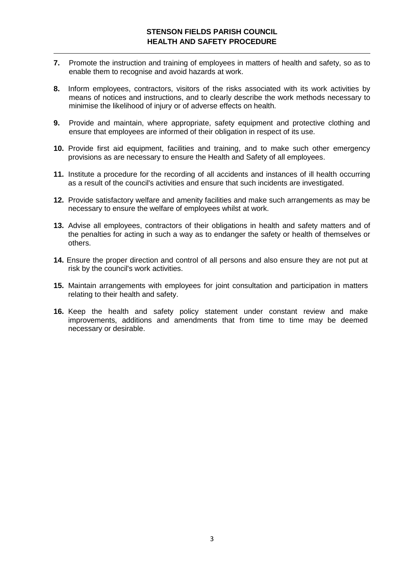# **STENSON FIELDS PARISH COUNCIL HEALTH AND SAFETY PROCEDURE**

- **7.** Promote the instruction and training of employees in matters of health and safety, so as to enable them to recognise and avoid hazards at work.
- **8.** Inform employees, contractors, visitors of the risks associated with its work activities by means of notices and instructions, and to clearly describe the work methods necessary to minimise the likelihood of injury or of adverse effects on health.
- **9.** Provide and maintain, where appropriate, safety equipment and protective clothing and ensure that employees are informed of their obligation in respect of its use.
- **10.** Provide first aid equipment, facilities and training, and to make such other emergency provisions as are necessary to ensure the Health and Safety of all employees.
- **11.** Institute a procedure for the recording of all accidents and instances of ill health occurring as a result of the council's activities and ensure that such incidents are investigated.
- **12.** Provide satisfactory welfare and amenity facilities and make such arrangements as may be necessary to ensure the welfare of employees whilst at work.
- **13.** Advise all employees, contractors of their obligations in health and safety matters and of the penalties for acting in such a way as to endanger the safety or health of themselves or others.
- **14.** Ensure the proper direction and control of all persons and also ensure they are not put at risk by the council's work activities.
- **15.** Maintain arrangements with employees for joint consultation and participation in matters relating to their health and safety.
- **16.** Keep the health and safety policy statement under constant review and make improvements, additions and amendments that from time to time may be deemed necessary or desirable.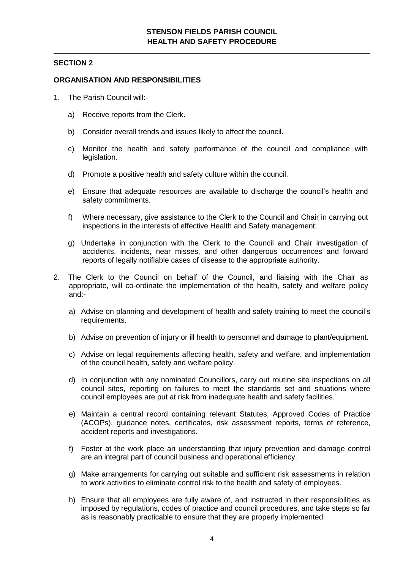## **SECTION 2**

## **ORGANISATION AND RESPONSIBILITIES**

- 1. The Parish Council will:
	- a) Receive reports from the Clerk.
	- b) Consider overall trends and issues likely to affect the council.
	- c) Monitor the health and safety performance of the council and compliance with legislation.
	- d) Promote a positive health and safety culture within the council.
	- e) Ensure that adequate resources are available to discharge the council's health and safety commitments.
	- f) Where necessary, give assistance to the Clerk to the Council and Chair in carrying out inspections in the interests of effective Health and Safety management;
	- g) Undertake in conjunction with the Clerk to the Council and Chair investigation of accidents, incidents, near misses, and other dangerous occurrences and forward reports of legally notifiable cases of disease to the appropriate authority.
- 2. The Clerk to the Council on behalf of the Council, and liaising with the Chair as appropriate, will co-ordinate the implementation of the health, safety and welfare policy and:
	- a) Advise on planning and development of health and safety training to meet the council's requirements.
	- b) Advise on prevention of injury or ill health to personnel and damage to plant/equipment.
	- c) Advise on legal requirements affecting health, safety and welfare, and implementation of the council health, safety and welfare policy.
	- d) In conjunction with any nominated Councillors, carry out routine site inspections on all council sites, reporting on failures to meet the standards set and situations where council employees are put at risk from inadequate health and safety facilities.
	- e) Maintain a central record containing relevant Statutes, Approved Codes of Practice (ACOPs), guidance notes, certificates, risk assessment reports, terms of reference, accident reports and investigations.
	- f) Foster at the work place an understanding that injury prevention and damage control are an integral part of council business and operational efficiency.
	- g) Make arrangements for carrying out suitable and sufficient risk assessments in relation to work activities to eliminate control risk to the health and safety of employees.
	- h) Ensure that all employees are fully aware of, and instructed in their responsibilities as imposed by regulations, codes of practice and council procedures, and take steps so far as is reasonably practicable to ensure that they are properly implemented.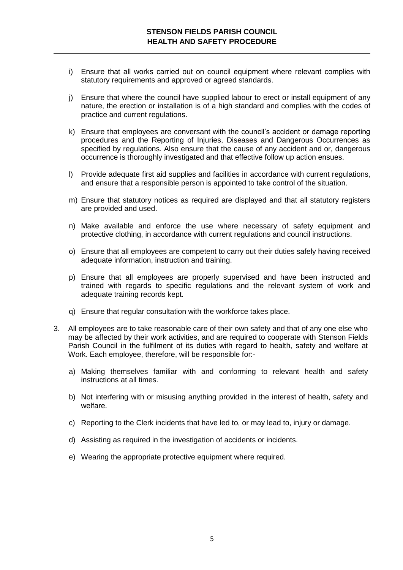- i) Ensure that all works carried out on council equipment where relevant complies with statutory requirements and approved or agreed standards.
- j) Ensure that where the council have supplied labour to erect or install equipment of any nature, the erection or installation is of a high standard and complies with the codes of practice and current regulations.
- k) Ensure that employees are conversant with the council's accident or damage reporting procedures and the Reporting of Injuries, Diseases and Dangerous Occurrences as specified by regulations. Also ensure that the cause of any accident and or, dangerous occurrence is thoroughly investigated and that effective follow up action ensues.
- l) Provide adequate first aid supplies and facilities in accordance with current regulations, and ensure that a responsible person is appointed to take control of the situation.
- m) Ensure that statutory notices as required are displayed and that all statutory registers are provided and used.
- n) Make available and enforce the use where necessary of safety equipment and protective clothing, in accordance with current regulations and council instructions.
- o) Ensure that all employees are competent to carry out their duties safely having received adequate information, instruction and training.
- p) Ensure that all employees are properly supervised and have been instructed and trained with regards to specific regulations and the relevant system of work and adequate training records kept.
- q) Ensure that regular consultation with the workforce takes place.
- 3. All employees are to take reasonable care of their own safety and that of any one else who may be affected by their work activities, and are required to cooperate with Stenson Fields Parish Council in the fulfilment of its duties with regard to health, safety and welfare at Work. Each employee, therefore, will be responsible for:
	- a) Making themselves familiar with and conforming to relevant health and safety instructions at all times.
	- b) Not interfering with or misusing anything provided in the interest of health, safety and welfare.
	- c) Reporting to the Clerk incidents that have led to, or may lead to, injury or damage.
	- d) Assisting as required in the investigation of accidents or incidents.
	- e) Wearing the appropriate protective equipment where required.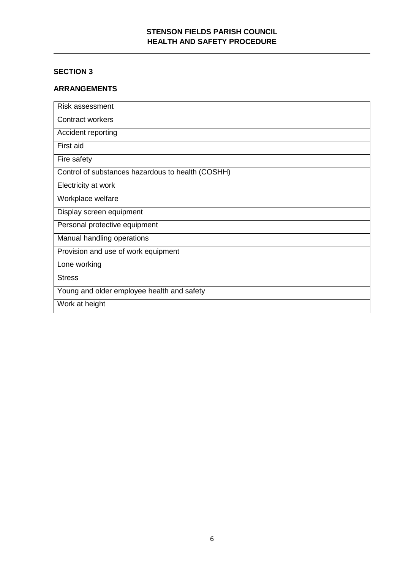# **STENSON FIELDS PARISH COUNCIL HEALTH AND SAFETY PROCEDURE**

# **SECTION 3**

# **ARRANGEMENTS**

| Risk assessment                                   |
|---------------------------------------------------|
| <b>Contract workers</b>                           |
| Accident reporting                                |
| First aid                                         |
| Fire safety                                       |
| Control of substances hazardous to health (COSHH) |
| Electricity at work                               |
| Workplace welfare                                 |
| Display screen equipment                          |
| Personal protective equipment                     |
| Manual handling operations                        |
| Provision and use of work equipment               |
| Lone working                                      |
| <b>Stress</b>                                     |
| Young and older employee health and safety        |
| Work at height                                    |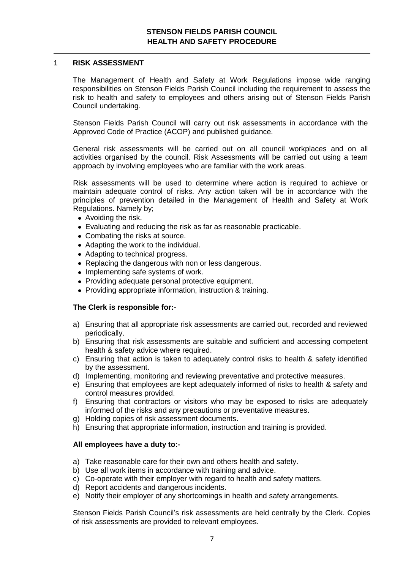#### 1 **RISK ASSESSMENT**

The Management of Health and Safety at Work Regulations impose wide ranging responsibilities on Stenson Fields Parish Council including the requirement to assess the risk to health and safety to employees and others arising out of Stenson Fields Parish Council undertaking.

Stenson Fields Parish Council will carry out risk assessments in accordance with the Approved Code of Practice (ACOP) and published guidance.

General risk assessments will be carried out on all council workplaces and on all activities organised by the council. Risk Assessments will be carried out using a team approach by involving employees who are familiar with the work areas.

Risk assessments will be used to determine where action is required to achieve or maintain adequate control of risks. Any action taken will be in accordance with the principles of prevention detailed in the Management of Health and Safety at Work Regulations. Namely by;

- Avoiding the risk.
- Evaluating and reducing the risk as far as reasonable practicable.
- Combating the risks at source.
- Adapting the work to the individual.
- Adapting to technical progress.
- Replacing the dangerous with non or less dangerous.
- Implementing safe systems of work.
- Providing adequate personal protective equipment.
- Providing appropriate information, instruction & training.

#### **The Clerk is responsible for:**-

- a) Ensuring that all appropriate risk assessments are carried out, recorded and reviewed periodically.
- b) Ensuring that risk assessments are suitable and sufficient and accessing competent health & safety advice where required.
- c) Ensuring that action is taken to adequately control risks to health & safety identified by the assessment.
- d) Implementing, monitoring and reviewing preventative and protective measures.
- e) Ensuring that employees are kept adequately informed of risks to health & safety and control measures provided.
- f) Ensuring that contractors or visitors who may be exposed to risks are adequately informed of the risks and any precautions or preventative measures.
- g) Holding copies of risk assessment documents.
- h) Ensuring that appropriate information, instruction and training is provided.

#### **All employees have a duty to:-**

- a) Take reasonable care for their own and others health and safety.
- b) Use all work items in accordance with training and advice.
- c) Co-operate with their employer with regard to health and safety matters.
- d) Report accidents and dangerous incidents.
- e) Notify their employer of any shortcomings in health and safety arrangements.

Stenson Fields Parish Council's risk assessments are held centrally by the Clerk. Copies of risk assessments are provided to relevant employees.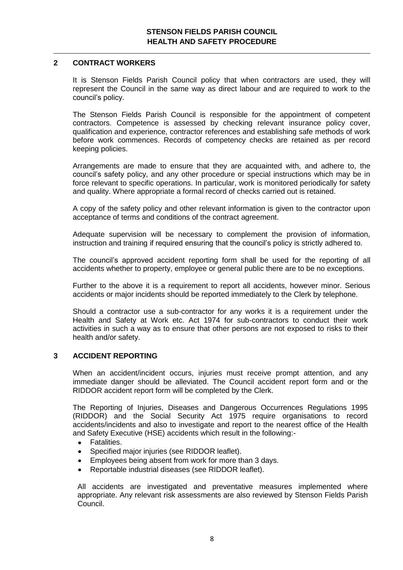## **2 CONTRACT WORKERS**

It is Stenson Fields Parish Council policy that when contractors are used, they will represent the Council in the same way as direct labour and are required to work to the council's policy.

The Stenson Fields Parish Council is responsible for the appointment of competent contractors. Competence is assessed by checking relevant insurance policy cover, qualification and experience, contractor references and establishing safe methods of work before work commences. Records of competency checks are retained as per record keeping policies.

Arrangements are made to ensure that they are acquainted with, and adhere to, the council's safety policy, and any other procedure or special instructions which may be in force relevant to specific operations. In particular, work is monitored periodically for safety and quality. Where appropriate a formal record of checks carried out is retained.

A copy of the safety policy and other relevant information is given to the contractor upon acceptance of terms and conditions of the contract agreement.

Adequate supervision will be necessary to complement the provision of information, instruction and training if required ensuring that the council's policy is strictly adhered to.

The council's approved accident reporting form shall be used for the reporting of all accidents whether to property, employee or general public there are to be no exceptions.

Further to the above it is a requirement to report all accidents, however minor. Serious accidents or major incidents should be reported immediately to the Clerk by telephone.

Should a contractor use a sub-contractor for any works it is a requirement under the Health and Safety at Work etc. Act 1974 for sub-contractors to conduct their work activities in such a way as to ensure that other persons are not exposed to risks to their health and/or safety.

# **3 ACCIDENT REPORTING**

When an accident/incident occurs, injuries must receive prompt attention, and any immediate danger should be alleviated. The Council accident report form and or the RIDDOR accident report form will be completed by the Clerk.

The Reporting of Injuries, Diseases and Dangerous Occurrences Regulations 1995 (RIDDOR) and the Social Security Act 1975 require organisations to record accidents/incidents and also to investigate and report to the nearest office of the Health and Safety Executive (HSE) accidents which result in the following:-

- **Fatalities**  $\bullet$
- Specified major injuries (see RIDDOR leaflet).  $\bullet$
- Employees being absent from work for more than 3 days.
- Reportable industrial diseases (see RIDDOR leaflet).

All accidents are investigated and preventative measures implemented where appropriate. Any relevant risk assessments are also reviewed by Stenson Fields Parish Council.